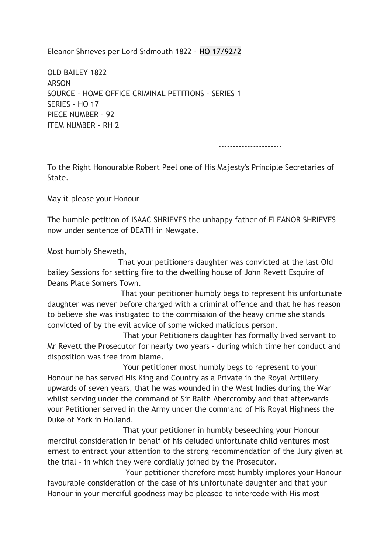Eleanor Shrieves per Lord Sidmouth 1822 - HO 17/92/2

OLD BAILEY 1822 ARSON SOURCE - HOME OFFICE CRIMINAL PETITIONS - SERIES 1 SERIES - HO 17 PIECE NUMBER - 92 ITEM NUMBER - RH 2

----------------------

To the Right Honourable Robert Peel one of His Majesty's Principle Secretaries of State.

May it please your Honour

The humble petition of ISAAC SHRIEVES the unhappy father of ELEANOR SHRIEVES now under sentence of DEATH in Newgate.

Most humbly Sheweth,

 That your petitioners daughter was convicted at the last Old bailey Sessions for setting fire to the dwelling house of John Revett Esquire of Deans Place Somers Town.

 That your petitioner humbly begs to represent his unfortunate daughter was never before charged with a criminal offence and that he has reason to believe she was instigated to the commission of the heavy crime she stands convicted of by the evil advice of some wicked malicious person.

 That your Petitioners daughter has formally lived servant to Mr Revett the Prosecutor for nearly two years - during which time her conduct and disposition was free from blame.

 Your petitioner most humbly begs to represent to your Honour he has served His King and Country as a Private in the Royal Artillery upwards of seven years, that he was wounded in the West Indies during the War whilst serving under the command of Sir Ralth Abercromby and that afterwards your Petitioner served in the Army under the command of His Royal Highness the Duke of York in Holland.

 That your petitioner in humbly beseeching your Honour merciful consideration in behalf of his deluded unfortunate child ventures most ernest to entract your attention to the strong recommendation of the Jury given at the trial - in which they were cordially joined by the Prosecutor.

 Your petitioner therefore most humbly implores your Honour favourable consideration of the case of his unfortunate daughter and that your Honour in your merciful goodness may be pleased to intercede with His most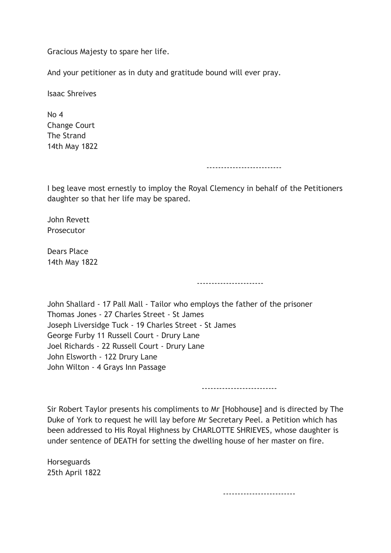Gracious Majesty to spare her life.

And your petitioner as in duty and gratitude bound will ever pray.

Isaac Shreives

 $N<sub>0</sub>$  4 Change Court The Strand 14th May 1822

--------------------------

I beg leave most ernestly to imploy the Royal Clemency in behalf of the Petitioners daughter so that her life may be spared.

John Revett Prosecutor

Dears Place 14th May 1822

John Shallard - 17 Pall Mall - Tailor who employs the father of the prisoner Thomas Jones - 27 Charles Street - St James Joseph Liversidge Tuck - 19 Charles Street - St James George Furby 11 Russell Court - Drury Lane Joel Richards - 22 Russell Court - Drury Lane John Elsworth - 122 Drury Lane John Wilton - 4 Grays Inn Passage

--------------------------

-----------------------

Sir Robert Taylor presents his compliments to Mr [Hobhouse] and is directed by The Duke of York to request he will lay before Mr Secretary Peel. a Petition which has been addressed to His Royal Highness by CHARLOTTE SHRIEVES, whose daughter is under sentence of DEATH for setting the dwelling house of her master on fire.

**Horseguards** 25th April 1822

-------------------------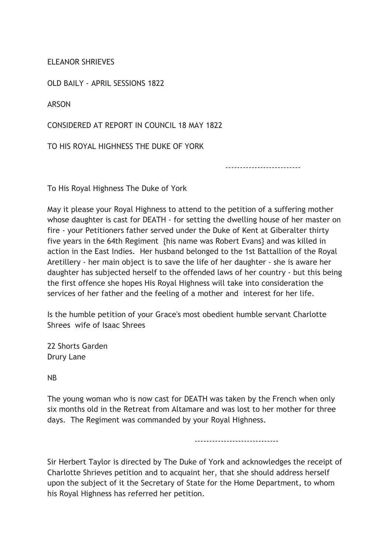ELEANOR SHRIEVES

OLD BAILY - APRIL SESSIONS 1822

ARSON

CONSIDERED AT REPORT IN COUNCIL 18 MAY 1822

TO HIS ROYAL HIGHNESS THE DUKE OF YORK

--------------------------

To His Royal Highness The Duke of York

May it please your Royal Highness to attend to the petition of a suffering mother whose daughter is cast for DEATH - for setting the dwelling house of her master on fire - your Petitioners father served under the Duke of Kent at Giberalter thirty five years in the 64th Regiment {his name was Robert Evans} and was killed in action in the East Indies. Her husband belonged to the 1st Battallion of the Royal Aretillery - her main object is to save the life of her daughter - she is aware her daughter has subjected herself to the offended laws of her country - but this being the first offence she hopes His Royal Highness will take into consideration the services of her father and the feeling of a mother and interest for her life.

Is the humble petition of your Grace's most obedient humble servant Charlotte Shrees wife of Isaac Shrees

22 Shorts Garden Drury Lane

NB

The young woman who is now cast for DEATH was taken by the French when only six months old in the Retreat from Altamare and was lost to her mother for three days. The Regiment was commanded by your Royal Highness.

-----------------------------

Sir Herbert Taylor is directed by The Duke of York and acknowledges the receipt of Charlotte Shrieves petition and to acquaint her, that she should address herself upon the subject of it the Secretary of State for the Home Department, to whom his Royal Highness has referred her petition.